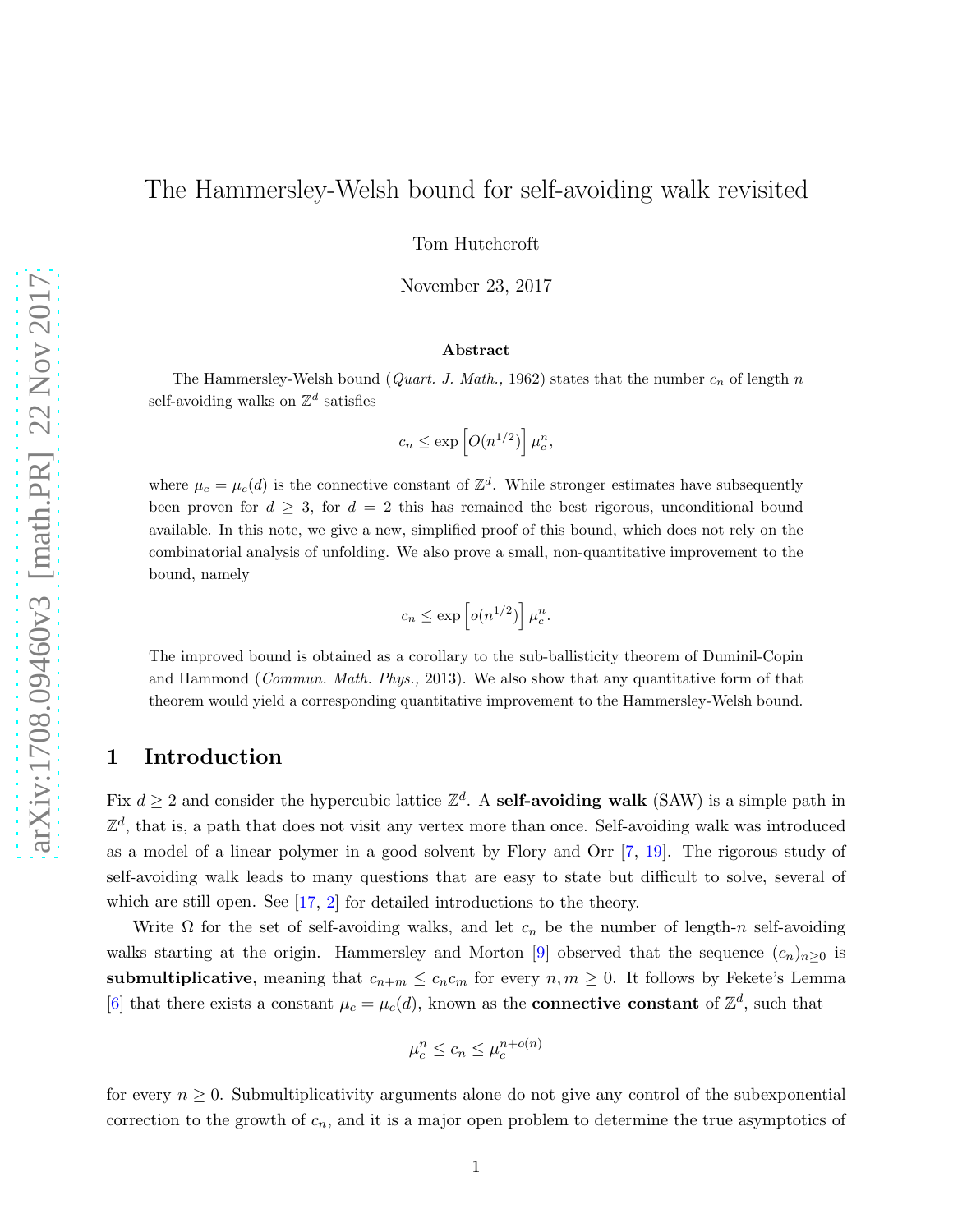# The Hammersley-Welsh bound for self-avoiding walk revisited

Tom Hutchcroft

November 23, 2017

#### Abstract

The Hammersley-Welsh bound (*Quart. J. Math.*, 1962) states that the number  $c_n$  of length n self-avoiding walks on  $\mathbb{Z}^d$  satisfies

$$
c_n \le \exp\left[O(n^{1/2})\right] \mu_c^n,
$$

where  $\mu_c = \mu_c(d)$  is the connective constant of  $\mathbb{Z}^d$ . While stronger estimates have subsequently been proven for  $d \geq 3$ , for  $d = 2$  this has remained the best rigorous, unconditional bound available. In this note, we give a new, simplified proof of this bound, which does not rely on the combinatorial analysis of unfolding. We also prove a small, non-quantitative improvement to the bound, namely

$$
c_n \leq \exp\left[ o(n^{1/2}) \right] \mu_c^n.
$$

The improved bound is obtained as a corollary to the sub-ballisticity theorem of Duminil-Copin and Hammond (*Commun. Math. Phys.*, 2013). We also show that any quantitative form of that theorem would yield a corresponding quantitative improvement to the Hammersley-Welsh bound.

## 1 Introduction

Fix  $d \geq 2$  and consider the hypercubic lattice  $\mathbb{Z}^d$ . A self-avoiding walk (SAW) is a simple path in  $\mathbb{Z}^d$ , that is, a path that does not visit any vertex more than once. Self-avoiding walk was introduced as a model of a linear polymer in a good solvent by Flory and Orr [\[7,](#page-7-0) [19\]](#page-8-0). The rigorous study of self-avoiding walk leads to many questions that are easy to state but difficult to solve, several of which are still open. See [\[17,](#page-8-1) [2\]](#page-7-1) for detailed introductions to the theory.

Write  $\Omega$  for the set of self-avoiding walks, and let  $c_n$  be the number of length-n self-avoiding walks starting at the origin. Hammersley and Morton [\[9\]](#page-7-2) observed that the sequence  $(c_n)_{n\geq 0}$  is submultiplicative, meaning that  $c_{n+m} \leq c_n c_m$  for every  $n, m \geq 0$ . It follows by Fekete's Lemma [\[6\]](#page-7-3) that there exists a constant  $\mu_c = \mu_c(d)$ , known as the **connective constant** of  $\mathbb{Z}^d$ , such that

$$
\mu_c^n \le c_n \le \mu_c^{n+o(n)}
$$

for every  $n \geq 0$ . Submultiplicativity arguments alone do not give any control of the subexponential correction to the growth of  $c_n$ , and it is a major open problem to determine the true asymptotics of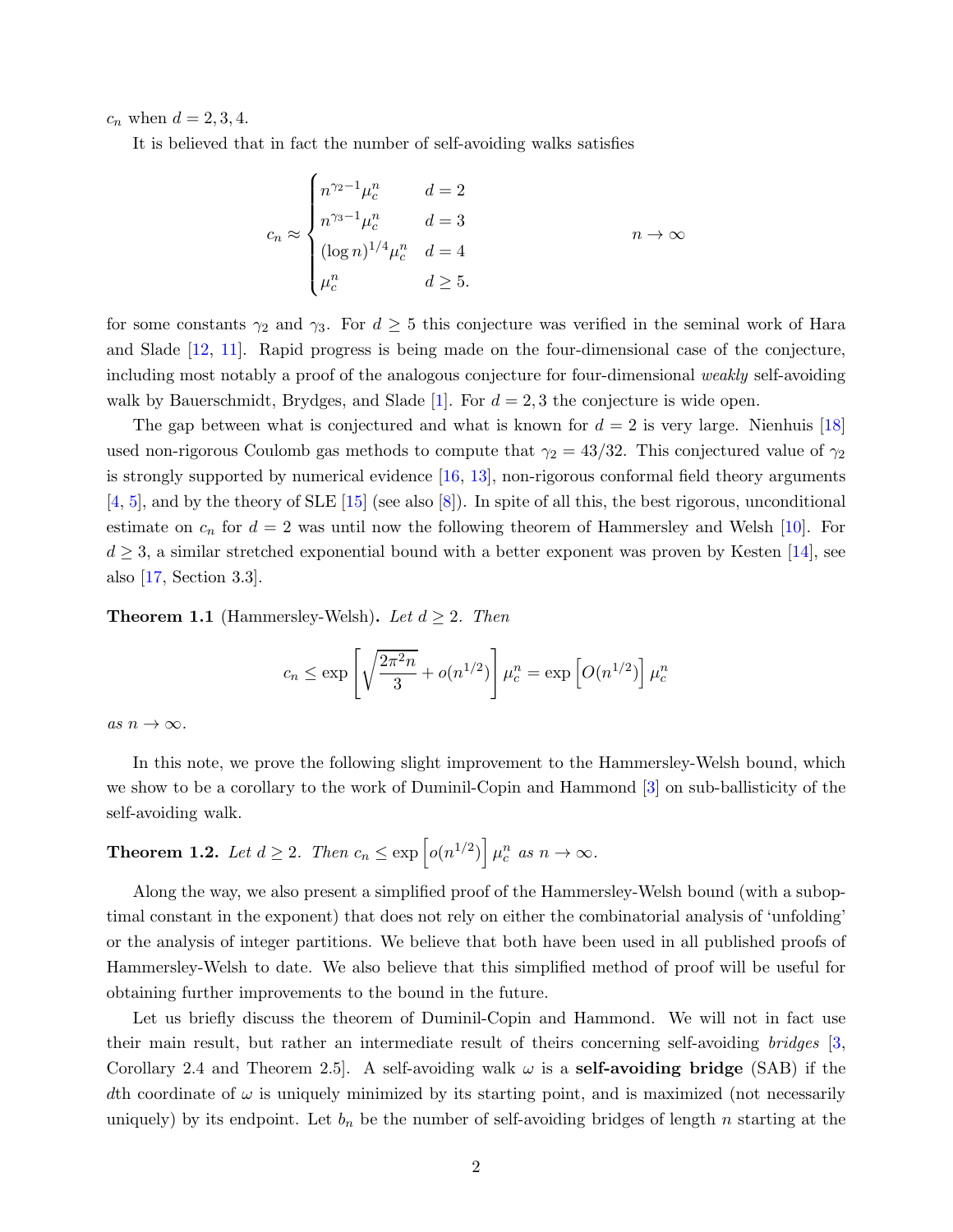$c_n$  when  $d = 2, 3, 4$ .

It is believed that in fact the number of self-avoiding walks satisfies

$$
c_n \approx \begin{cases} n^{\gamma_2 - 1} \mu_c^n & d = 2 \\ n^{\gamma_3 - 1} \mu_c^n & d = 3 \\ (\log n)^{1/4} \mu_c^n & d = 4 \\ \mu_c^n & d \ge 5. \end{cases} \qquad n \to \infty
$$

for some constants  $\gamma_2$  and  $\gamma_3$ . For  $d \geq 5$  this conjecture was verified in the seminal work of Hara and Slade [\[12,](#page-8-2) [11\]](#page-8-3). Rapid progress is being made on the four-dimensional case of the conjecture, including most notably a proof of the analogous conjecture for four-dimensional weakly self-avoiding walk by Bauerschmidt, Brydges, and Slade [\[1\]](#page-7-4). For  $d = 2, 3$  the conjecture is wide open.

The gap between what is conjectured and what is known for  $d = 2$  is very large. Nienhuis [\[18\]](#page-8-4) used non-rigorous Coulomb gas methods to compute that  $\gamma_2 = 43/32$ . This conjectured value of  $\gamma_2$ is strongly supported by numerical evidence  $[16, 13]$  $[16, 13]$ , non-rigorous conformal field theory arguments  $[4, 5]$  $[4, 5]$  $[4, 5]$ , and by the theory of SLE  $[15]$  (see also  $[8]$ ). In spite of all this, the best rigorous, unconditional estimate on  $c_n$  for  $d = 2$  was until now the following theorem of Hammersley and Welsh [\[10\]](#page-7-8). For  $d \geq 3$ , a similar stretched exponential bound with a better exponent was proven by Kesten [\[14\]](#page-8-8), see also [\[17,](#page-8-1) Section 3.3].

**Theorem 1.1** (Hammersley-Welsh). Let  $d \geq 2$ . Then

$$
c_n \le \exp\left[\sqrt{\frac{2\pi^2 n}{3}} + o(n^{1/2})\right]\mu_c^n = \exp\left[O(n^{1/2})\right]\mu_c^n
$$

as  $n \to \infty$ .

In this note, we prove the following slight improvement to the Hammersley-Welsh bound, which we show to be a corollary to the work of Duminil-Copin and Hammond [\[3\]](#page-7-9) on sub-ballisticity of the self-avoiding walk.

<span id="page-1-0"></span>**Theorem 1.2.** Let  $d \geq 2$ . Then  $c_n \leq \exp \left[ o(n^{1/2}) \right] \mu_c^n$  as  $n \to \infty$ .

Along the way, we also present a simplified proof of the Hammersley-Welsh bound (with a suboptimal constant in the exponent) that does not rely on either the combinatorial analysis of 'unfolding' or the analysis of integer partitions. We believe that both have been used in all published proofs of Hammersley-Welsh to date. We also believe that this simplified method of proof will be useful for obtaining further improvements to the bound in the future.

Let us briefly discuss the theorem of Duminil-Copin and Hammond. We will not in fact use their main result, but rather an intermediate result of theirs concerning self-avoiding bridges [\[3,](#page-7-9) Corollary 2.4 and Theorem 2.5. A self-avoiding walk  $\omega$  is a **self-avoiding bridge** (SAB) if the dth coordinate of  $\omega$  is uniquely minimized by its starting point, and is maximized (not necessarily uniquely) by its endpoint. Let  $b_n$  be the number of self-avoiding bridges of length n starting at the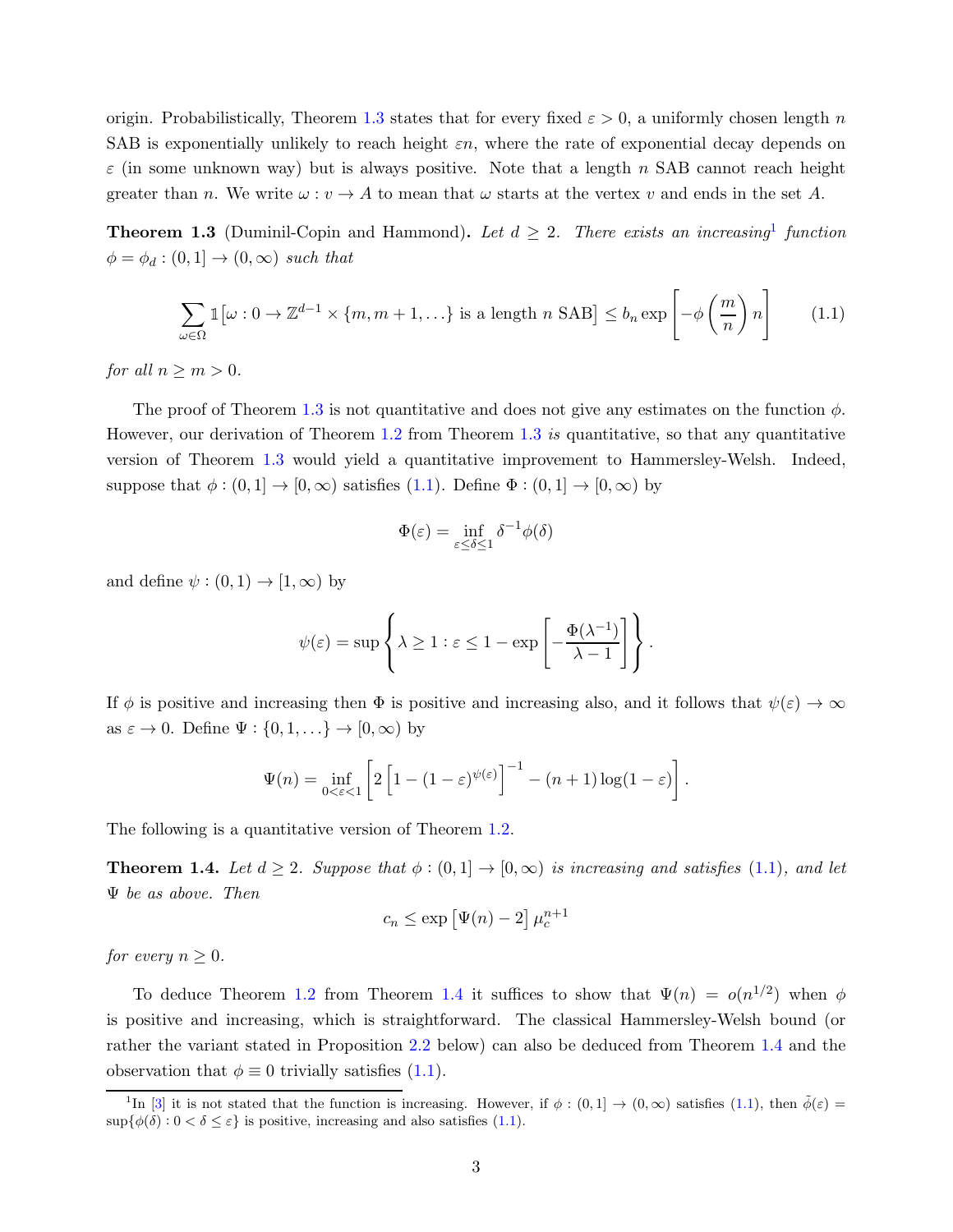origin. Probabilistically, Theorem [1.3](#page-2-0) states that for every fixed  $\varepsilon > 0$ , a uniformly chosen length n SAB is exponentially unlikely to reach height  $\varepsilon n$ , where the rate of exponential decay depends on  $\varepsilon$  (in some unknown way) but is always positive. Note that a length n SAB cannot reach height greater than n. We write  $\omega : v \to A$  to mean that  $\omega$  starts at the vertex v and ends in the set A.

<span id="page-2-0"></span>**Theorem 1.3** (Duminil-Copin and Hammond). Let  $d \geq 2$ . There exists an increasing function  $\phi = \phi_d : (0,1] \rightarrow (0,\infty)$  such that

$$
\sum_{\omega \in \Omega} \mathbb{1} \left[ \omega : 0 \to \mathbb{Z}^{d-1} \times \{m, m+1, \ldots \} \right] \text{ is a length } n \text{ SAB} \right] \le b_n \exp \left[ -\phi \left( \frac{m}{n} \right) n \right] \tag{1.1}
$$

for all  $n \geq m > 0$ .

The proof of Theorem [1.3](#page-2-0) is not quantitative and does not give any estimates on the function  $\phi$ . However, our derivation of Theorem [1.2](#page-1-0) from Theorem [1.3](#page-2-0) is quantitative, so that any quantitative version of Theorem [1.3](#page-2-0) would yield a quantitative improvement to Hammersley-Welsh. Indeed, suppose that  $\phi : (0,1] \to [0,\infty)$  satisfies  $(1.1)$ . Define  $\Phi : (0,1] \to [0,\infty)$  by

<span id="page-2-1"></span>
$$
\Phi(\varepsilon) = \inf_{\varepsilon \le \delta \le 1} \delta^{-1} \phi(\delta)
$$

and define  $\psi : (0,1) \to [1,\infty)$  by

$$
\psi(\varepsilon) = \sup \left\{ \lambda \ge 1 : \varepsilon \le 1 - \exp \left[ -\frac{\Phi(\lambda^{-1})}{\lambda - 1} \right] \right\}.
$$

If  $\phi$  is positive and increasing then  $\Phi$  is positive and increasing also, and it follows that  $\psi(\varepsilon) \to \infty$ as  $\varepsilon \to 0$ . Define  $\Psi : \{0, 1, \ldots\} \to [0, \infty)$  by

$$
\Psi(n) = \inf_{0 < \varepsilon < 1} \left[ 2 \left[ 1 - (1 - \varepsilon)^{\psi(\varepsilon)} \right]^{-1} - (n+1) \log(1-\varepsilon) \right].
$$

<span id="page-2-2"></span>The following is a quantitative version of Theorem [1.2.](#page-1-0)

**Theorem 1.4.** Let  $d \geq 2$ . Suppose that  $\phi : (0,1] \rightarrow [0,\infty)$  is increasing and satisfies [\(1.1\)](#page-2-1), and let Ψ be as above. Then

$$
c_n \le \exp[\Psi(n) - 2] \mu_c^{n+1}
$$

for every  $n \geq 0$ .

To deduce Theorem [1.2](#page-1-0) from Theorem [1.4](#page-2-2) it suffices to show that  $\Psi(n) = o(n^{1/2})$  when  $\phi$ is positive and increasing, which is straightforward. The classical Hammersley-Welsh bound (or rather the variant stated in Proposition [2.2](#page-3-0) below) can also be deduced from Theorem [1.4](#page-2-2) and the observation that  $\phi \equiv 0$  trivially satisfies [\(1.1\)](#page-2-1).

<sup>&</sup>lt;sup>1</sup>In [\[3\]](#page-7-9) it is not stated that the function is increasing. However, if  $\phi : (0,1] \to (0,\infty)$  satisfies [\(1.1\)](#page-2-1), then  $\tilde{\phi}(\varepsilon)$  =  $\sup\{\phi(\delta): 0 < \delta \leq \varepsilon\}$  is positive, increasing and also satisfies [\(1.1\)](#page-2-1).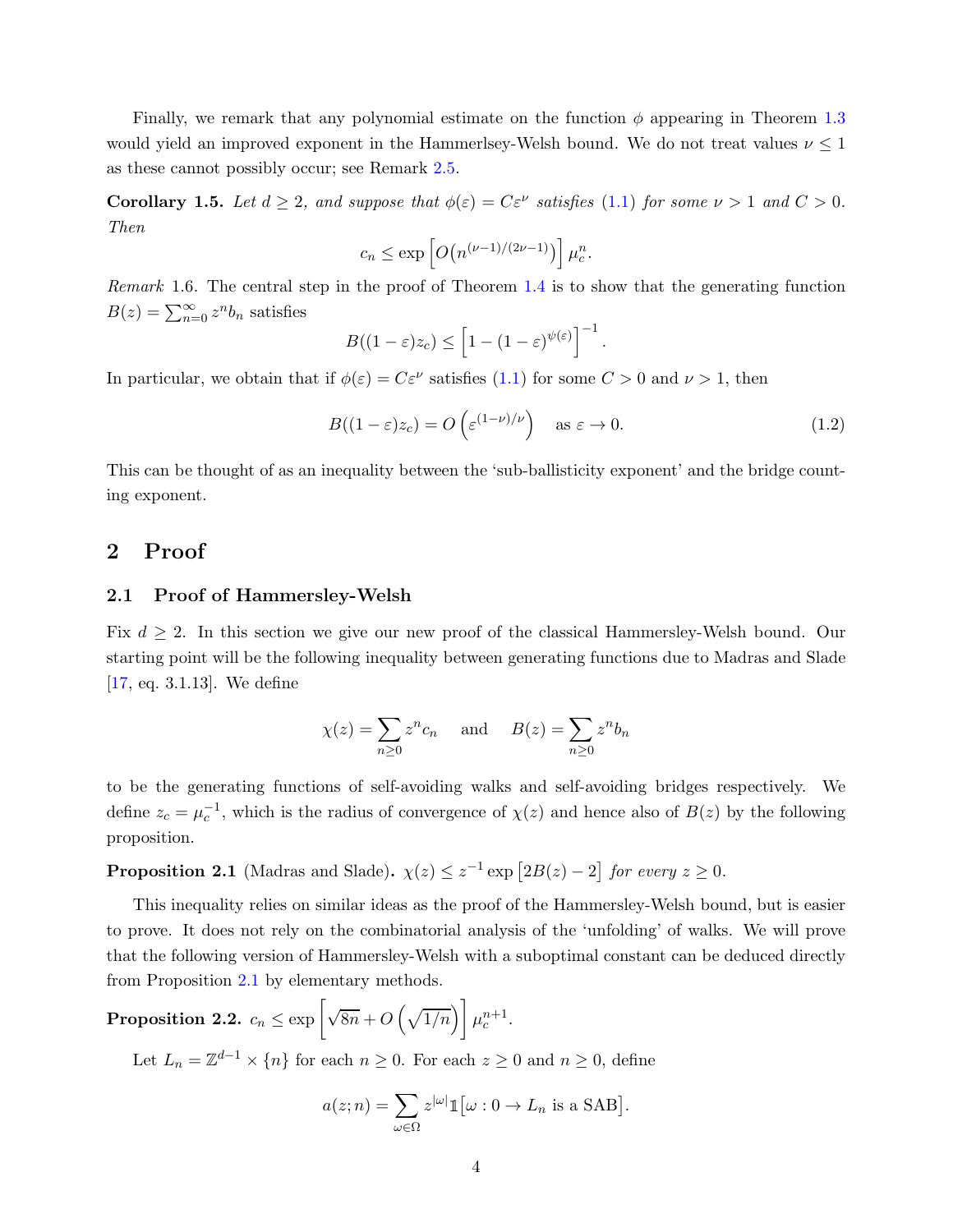Finally, we remark that any polynomial estimate on the function  $\phi$  appearing in Theorem [1.3](#page-2-0) would yield an improved exponent in the Hammerlsey-Welsh bound. We do not treat values  $\nu \leq 1$ as these cannot possibly occur; see Remark [2.5.](#page-6-0)

<span id="page-3-2"></span>**Corollary 1.5.** Let  $d \geq 2$ , and suppose that  $\phi(\varepsilon) = C\varepsilon^{\nu}$  satisfies [\(1.1\)](#page-2-1) for some  $\nu > 1$  and  $C > 0$ . Then

$$
c_n \le \exp\left[O\big(n^{(\nu-1)/(2\nu-1)}\big)\right]\mu_c^n.
$$

Remark 1.6. The central step in the proof of Theorem [1.4](#page-2-2) is to show that the generating function  $B(z) = \sum_{n=0}^{\infty} z^n b_n$  satisfies

$$
B((1-\varepsilon)z_c)\leq \left[1-(1-\varepsilon)^{\psi(\varepsilon)}\right]^{-1}.
$$

In particular, we obtain that if  $\phi(\varepsilon) = C\varepsilon^{\nu}$  satisfies [\(1.1\)](#page-2-1) for some  $C > 0$  and  $\nu > 1$ , then

$$
B((1 - \varepsilon)z_c) = O\left(\varepsilon^{(1 - \nu)/\nu}\right) \quad \text{as } \varepsilon \to 0. \tag{1.2}
$$

This can be thought of as an inequality between the 'sub-ballisticity exponent' and the bridge counting exponent.

## 2 Proof

#### 2.1 Proof of Hammersley-Welsh

Fix  $d \geq 2$ . In this section we give our new proof of the classical Hammersley-Welsh bound. Our starting point will be the following inequality between generating functions due to Madras and Slade [\[17,](#page-8-1) eq. 3.1.13]. We define

$$
\chi(z) = \sum_{n\geq 0} z^n c_n \quad \text{and} \quad B(z) = \sum_{n\geq 0} z^n b_n
$$

to be the generating functions of self-avoiding walks and self-avoiding bridges respectively. We define  $z_c = \mu_c^{-1}$ , which is the radius of convergence of  $\chi(z)$  and hence also of  $B(z)$  by the following proposition.

<span id="page-3-1"></span>**Proposition 2.1** (Madras and Slade).  $\chi(z) \leq z^{-1} \exp \left[ 2B(z) - 2 \right]$  for every  $z \geq 0$ .

This inequality relies on similar ideas as the proof of the Hammersley-Welsh bound, but is easier to prove. It does not rely on the combinatorial analysis of the 'unfolding' of walks. We will prove that the following version of Hammersley-Welsh with a suboptimal constant can be deduced directly from Proposition [2.1](#page-3-1) by elementary methods.

<span id="page-3-0"></span> $\textbf{Proposition 2.2.} \ \ c_n \leq \exp\left[\sqrt{8n}+O\left(\sqrt{1/n}\right)\right]\mu_c^{n+1}.$ 

Let  $L_n = \mathbb{Z}^{d-1} \times \{n\}$  for each  $n \geq 0$ . For each  $z \geq 0$  and  $n \geq 0$ , define

$$
a(z; n) = \sum_{\omega \in \Omega} z^{|\omega|} \mathbb{1} \left[ \omega : 0 \to L_n \text{ is a SAB} \right].
$$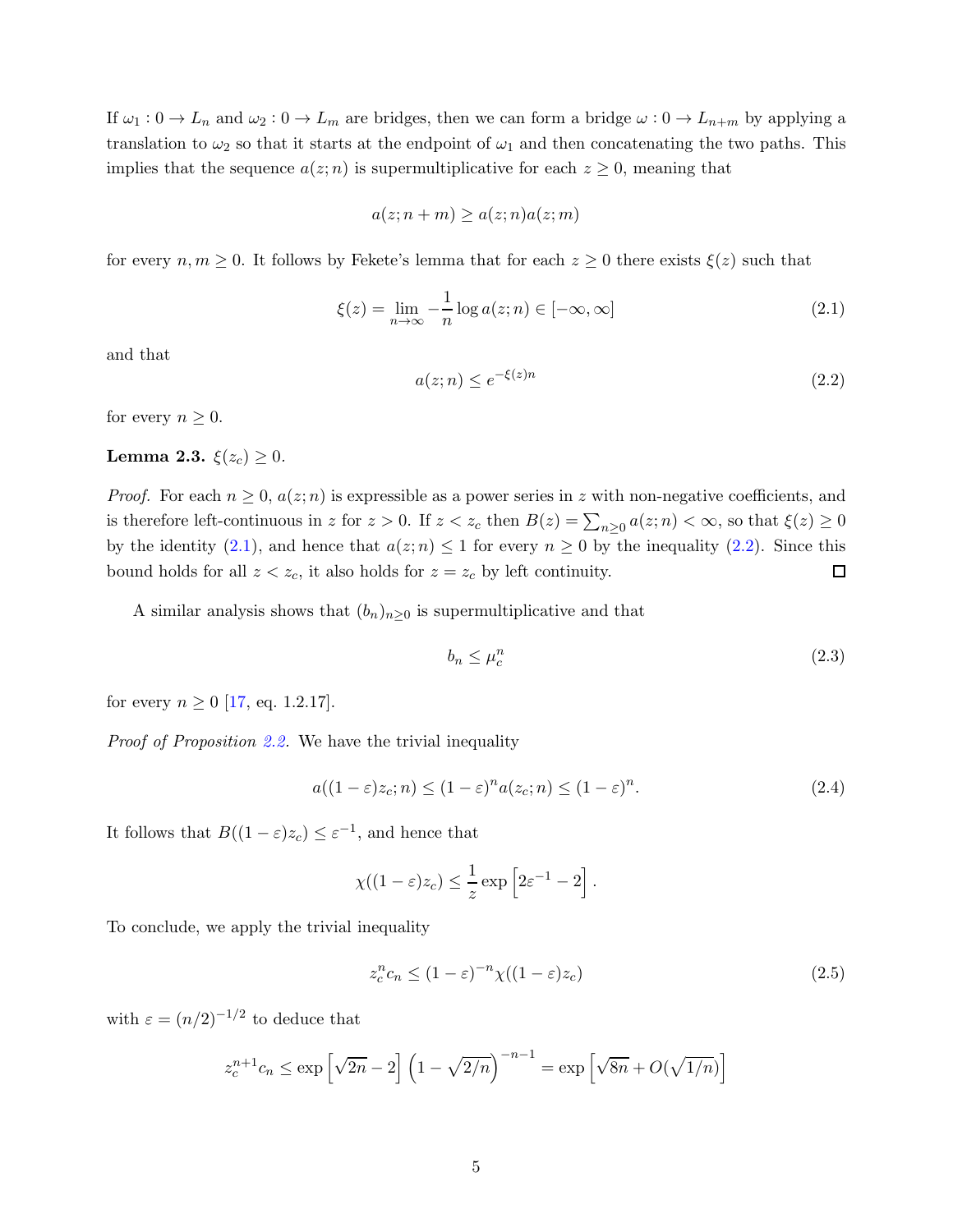If  $\omega_1: 0 \to L_n$  and  $\omega_2: 0 \to L_m$  are bridges, then we can form a bridge  $\omega: 0 \to L_{n+m}$  by applying a translation to  $\omega_2$  so that it starts at the endpoint of  $\omega_1$  and then concatenating the two paths. This implies that the sequence  $a(z; n)$  is supermultiplicative for each  $z \geq 0$ , meaning that

$$
a(z; n+m) \ge a(z; n) a(z; m)
$$

for every  $n, m \geq 0$ . It follows by Fekete's lemma that for each  $z \geq 0$  there exists  $\xi(z)$  such that

<span id="page-4-0"></span>
$$
\xi(z) = \lim_{n \to \infty} -\frac{1}{n} \log a(z; n) \in [-\infty, \infty]
$$
\n(2.1)

and that

<span id="page-4-1"></span>
$$
a(z; n) \le e^{-\xi(z)n} \tag{2.2}
$$

<span id="page-4-3"></span>for every  $n \geq 0$ .

#### Lemma 2.3.  $\xi(z_c) \geq 0$ .

*Proof.* For each  $n \geq 0$ ,  $a(z; n)$  is expressible as a power series in z with non-negative coefficients, and is therefore left-continuous in z for  $z > 0$ . If  $z < z_c$  then  $B(z) = \sum_{n \geq 0} a(z; n) < \infty$ , so that  $\xi(z) \geq 0$ by the identity [\(2.1\)](#page-4-0), and hence that  $a(z; n) \leq 1$  for every  $n \geq 0$  by the inequality [\(2.2\)](#page-4-1). Since this bound holds for all  $z < z_c$ , it also holds for  $z = z_c$  by left continuity.  $\Box$ 

A similar analysis shows that  $(b_n)_{n\geq 0}$  is supermultiplicative and that

<span id="page-4-4"></span>
$$
b_n \le \mu_c^n \tag{2.3}
$$

for every  $n \geq 0$  [\[17,](#page-8-1) eq. 1.2.17].

Proof of Proposition [2.2.](#page-3-0) We have the trivial inequality

<span id="page-4-2"></span>
$$
a((1 - \varepsilon)z_c; n) \le (1 - \varepsilon)^n a(z_c; n) \le (1 - \varepsilon)^n.
$$
\n(2.4)

It follows that  $B((1 - \varepsilon)z_c) \leq \varepsilon^{-1}$ , and hence that

$$
\chi((1-\varepsilon)z_c) \leq \frac{1}{z} \exp\left[2\varepsilon^{-1} - 2\right].
$$

To conclude, we apply the trivial inequality

<span id="page-4-5"></span>
$$
z_c^n c_n \le (1 - \varepsilon)^{-n} \chi((1 - \varepsilon)z_c) \tag{2.5}
$$

with  $\varepsilon = (n/2)^{-1/2}$  to deduce that

$$
z_c^{n+1}c_n \le \exp\left[\sqrt{2n} - 2\right] \left(1 - \sqrt{2/n}\right)^{-n-1} = \exp\left[\sqrt{8n} + O(\sqrt{1/n})\right]
$$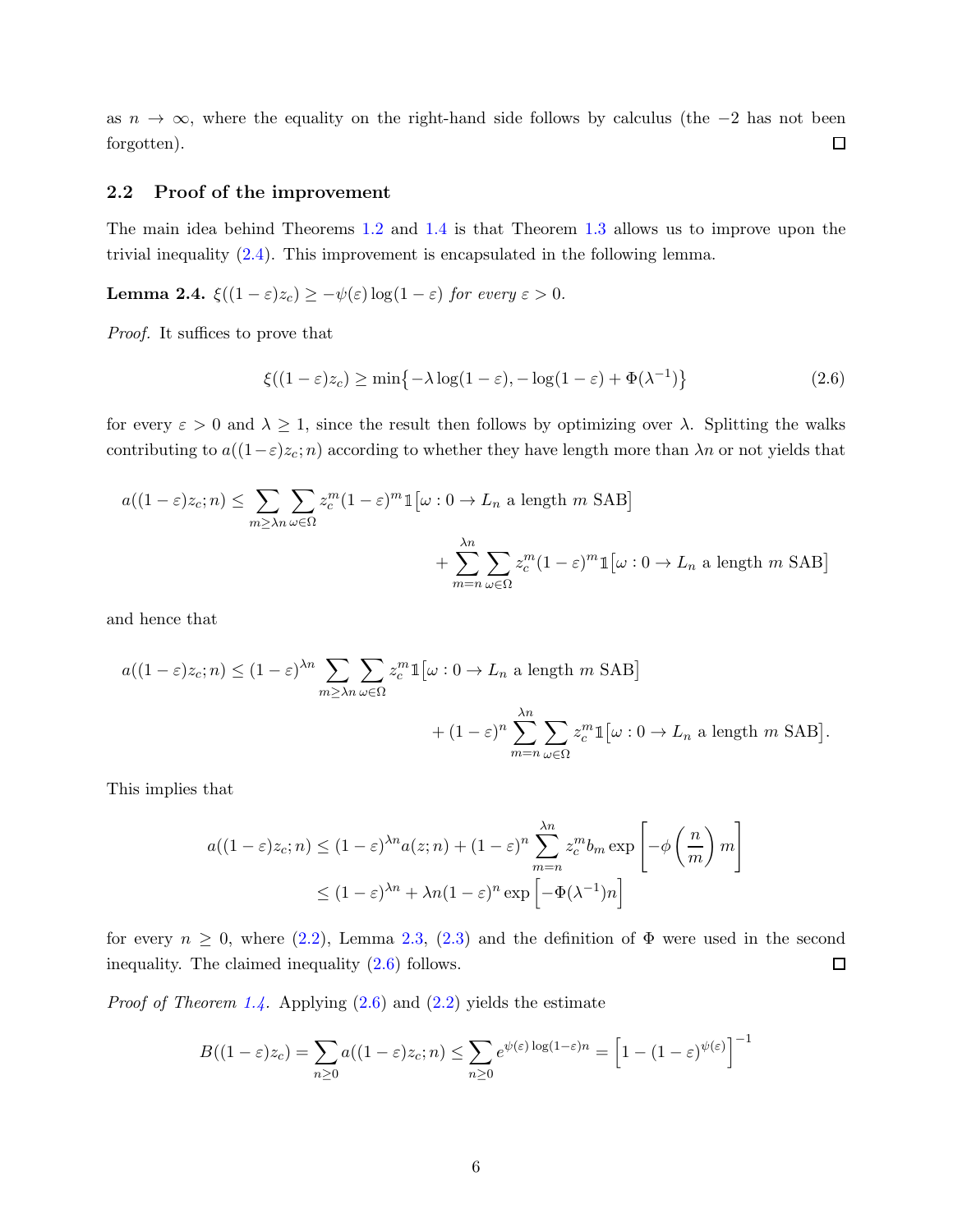as  $n \to \infty$ , where the equality on the right-hand side follows by calculus (the −2 has not been forgotten).  $\Box$ 

#### 2.2 Proof of the improvement

The main idea behind Theorems [1.2](#page-1-0) and [1.4](#page-2-2) is that Theorem [1.3](#page-2-0) allows us to improve upon the trivial inequality [\(2.4\)](#page-4-2). This improvement is encapsulated in the following lemma.

Lemma 2.4.  $\xi((1-\varepsilon)z_c) \geq -\psi(\varepsilon) \log(1-\varepsilon)$  for every  $\varepsilon > 0$ .

Proof. It suffices to prove that

<span id="page-5-0"></span>
$$
\xi((1-\varepsilon)z_c) \ge \min\{-\lambda \log(1-\varepsilon), -\log(1-\varepsilon) + \Phi(\lambda^{-1})\} \tag{2.6}
$$

for every  $\varepsilon > 0$  and  $\lambda \geq 1$ , since the result then follows by optimizing over  $\lambda$ . Splitting the walks contributing to  $a((1-\varepsilon)z_c; n)$  according to whether they have length more than  $\lambda n$  or not yields that

$$
a((1-\varepsilon)z_c; n) \le \sum_{m \ge \lambda_n} \sum_{\omega \in \Omega} z_c^m (1-\varepsilon)^m \mathbb{1} \left[ \omega : 0 \to L_n \text{ a length } m \text{ SAB} \right]
$$

$$
+ \sum_{m=n} \sum_{\omega \in \Omega} z_c^m (1-\varepsilon)^m \mathbb{1} \left[ \omega : 0 \to L_n \text{ a length } m \text{ SAB} \right]
$$

and hence that

$$
a((1-\varepsilon)z_c; n) \le (1-\varepsilon)^{\lambda n} \sum_{m \ge \lambda n} \sum_{\omega \in \Omega} z_c^m \mathbb{1} \left[ \omega : 0 \to L_n \text{ a length } m \text{ SAB} \right]
$$

$$
+ (1-\varepsilon)^n \sum_{m=n}^{\lambda n} \sum_{\omega \in \Omega} z_c^m \mathbb{1} \left[ \omega : 0 \to L_n \text{ a length } m \text{ SAB} \right].
$$

This implies that

$$
a((1-\varepsilon)z_c; n) \le (1-\varepsilon)^{\lambda n} a(z; n) + (1-\varepsilon)^n \sum_{m=n}^{\lambda n} z_c^m b_m \exp\left[-\phi\left(\frac{n}{m}\right)m\right]
$$
  

$$
\le (1-\varepsilon)^{\lambda n} + \lambda n (1-\varepsilon)^n \exp\left[-\Phi(\lambda^{-1})n\right]
$$

for every  $n \geq 0$ , where  $(2.2)$ , Lemma [2.3,](#page-4-3)  $(2.3)$  and the definition of  $\Phi$  were used in the second inequality. The claimed inequality [\(2.6\)](#page-5-0) follows.  $\Box$ 

*Proof of Theorem [1.4.](#page-2-2)* Applying  $(2.6)$  and  $(2.2)$  yields the estimate

$$
B((1-\varepsilon)z_c) = \sum_{n\geq 0} a((1-\varepsilon)z_c; n) \leq \sum_{n\geq 0} e^{\psi(\varepsilon)\log(1-\varepsilon)n} = \left[1 - (1-\varepsilon)^{\psi(\varepsilon)}\right]^{-1}
$$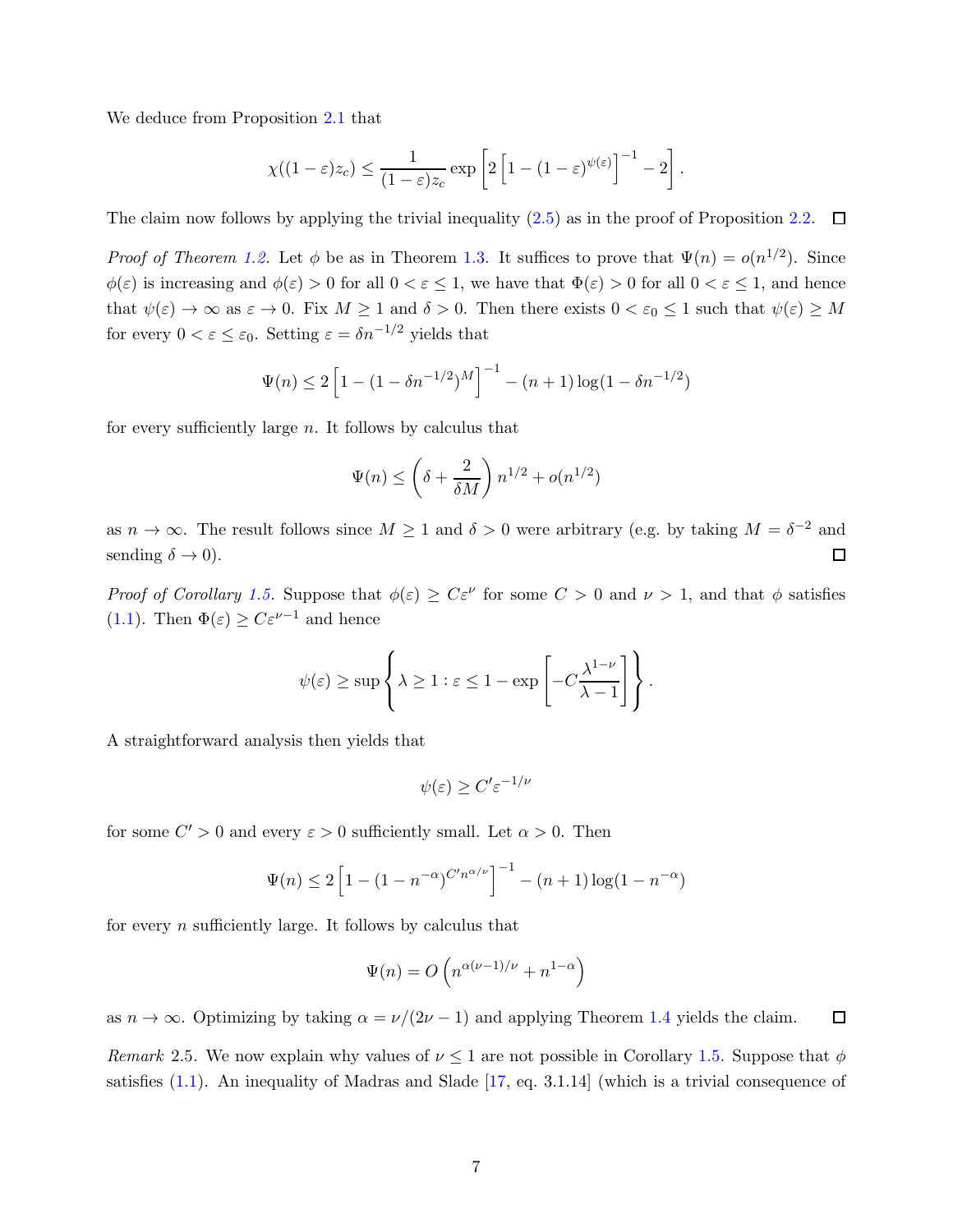We deduce from Proposition [2.1](#page-3-1) that

$$
\chi((1-\varepsilon)z_c) \leq \frac{1}{(1-\varepsilon)z_c} \exp\left[2\left[1-(1-\varepsilon)^{\psi(\varepsilon)}\right]^{-1}-2\right].
$$

The claim now follows by applying the trivial inequality  $(2.5)$  as in the proof of Proposition [2.2.](#page-3-0)  $\Box$ 

*Proof of Theorem [1.2.](#page-1-0)* Let  $\phi$  be as in Theorem [1.3.](#page-2-0) It suffices to prove that  $\Psi(n) = o(n^{1/2})$ . Since  $\phi(\varepsilon)$  is increasing and  $\phi(\varepsilon) > 0$  for all  $0 < \varepsilon \leq 1$ , we have that  $\Phi(\varepsilon) > 0$  for all  $0 < \varepsilon \leq 1$ , and hence that  $\psi(\varepsilon) \to \infty$  as  $\varepsilon \to 0$ . Fix  $M \ge 1$  and  $\delta > 0$ . Then there exists  $0 < \varepsilon_0 \le 1$  such that  $\psi(\varepsilon) \ge M$ for every  $0 < \varepsilon \leq \varepsilon_0$ . Setting  $\varepsilon = \delta n^{-1/2}$  yields that

$$
\Psi(n) \le 2\left[1 - (1 - \delta n^{-1/2})^M\right]^{-1} - (n+1)\log(1 - \delta n^{-1/2})
$$

for every sufficiently large  $n$ . It follows by calculus that

$$
\Psi(n) \le \left(\delta + \frac{2}{\delta M}\right) n^{1/2} + o(n^{1/2})
$$

as  $n \to \infty$ . The result follows since  $M \ge 1$  and  $\delta > 0$  were arbitrary (e.g. by taking  $M = \delta^{-2}$  and sending  $\delta \to 0$ ).  $\Box$ 

Proof of Corollary [1.5.](#page-3-2) Suppose that  $\phi(\varepsilon) \geq C\varepsilon^{\nu}$  for some  $C > 0$  and  $\nu > 1$ , and that  $\phi$  satisfies [\(1.1\)](#page-2-1). Then  $\Phi(\varepsilon) \geq C \varepsilon^{\nu-1}$  and hence

$$
\psi(\varepsilon) \ge \sup \left\{ \lambda \ge 1 : \varepsilon \le 1 - \exp \left[ -C \frac{\lambda^{1-\nu}}{\lambda - 1} \right] \right\}.
$$

A straightforward analysis then yields that

$$
\psi(\varepsilon) \ge C' \varepsilon^{-1/\nu}
$$

for some  $C' > 0$  and every  $\varepsilon > 0$  sufficiently small. Let  $\alpha > 0$ . Then

$$
\Psi(n) \le 2\left[1 - (1 - n^{-\alpha})^{C'n^{\alpha/\nu}}\right]^{-1} - (n+1)\log(1 - n^{-\alpha})
$$

for every  $n$  sufficiently large. It follows by calculus that

$$
\Psi(n) = O\left(n^{\alpha(\nu - 1)/\nu} + n^{1-\alpha}\right)
$$

<span id="page-6-0"></span>as  $n \to \infty$ . Optimizing by taking  $\alpha = \nu/(2\nu - 1)$  and applying Theorem [1.4](#page-2-2) yields the claim.  $\Box$ 

Remark 2.5. We now explain why values of  $\nu \leq 1$  are not possible in Corollary [1.5.](#page-3-2) Suppose that  $\phi$ satisfies [\(1.1\)](#page-2-1). An inequality of Madras and Slade [\[17,](#page-8-1) eq. 3.1.14] (which is a trivial consequence of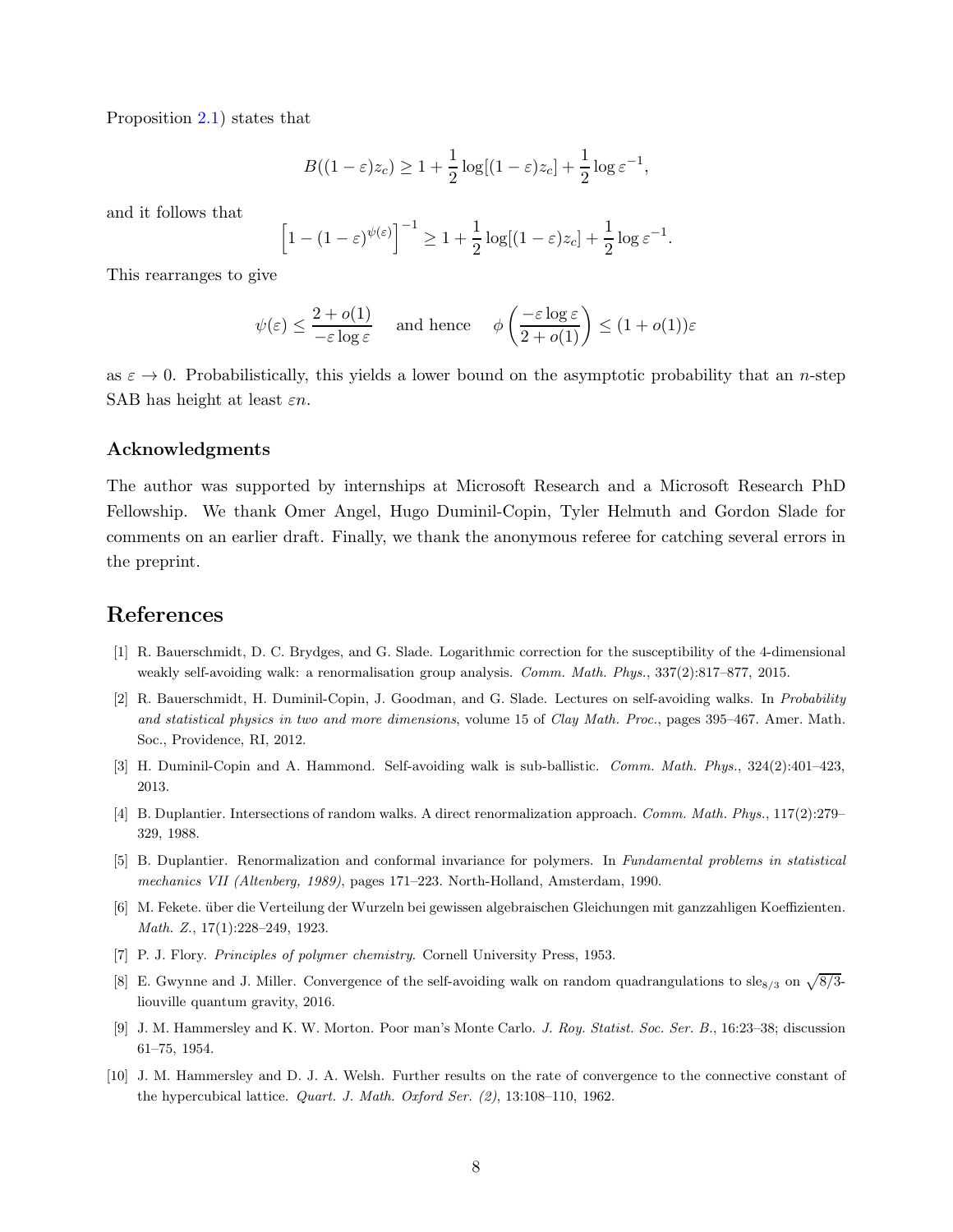Proposition [2.1\)](#page-3-1) states that

$$
B((1-\varepsilon)z_c) \ge 1 + \frac{1}{2}\log[(1-\varepsilon)z_c] + \frac{1}{2}\log \varepsilon^{-1},
$$

and it follows that

$$
\left[1 - (1 - \varepsilon)^{\psi(\varepsilon)}\right]^{-1} \ge 1 + \frac{1}{2}\log[(1 - \varepsilon)z_c] + \frac{1}{2}\log \varepsilon^{-1}.
$$

This rearranges to give

$$
\psi(\varepsilon) \le \frac{2 + o(1)}{-\varepsilon \log \varepsilon} \quad \text{ and hence} \quad \phi\left(\frac{-\varepsilon \log \varepsilon}{2 + o(1)}\right) \le (1 + o(1))\varepsilon
$$

as  $\varepsilon \to 0$ . Probabilistically, this yields a lower bound on the asymptotic probability that an *n*-step SAB has height at least  $\varepsilon n$ .

#### Acknowledgments

The author was supported by internships at Microsoft Research and a Microsoft Research PhD Fellowship. We thank Omer Angel, Hugo Duminil-Copin, Tyler Helmuth and Gordon Slade for comments on an earlier draft. Finally, we thank the anonymous referee for catching several errors in the preprint.

## <span id="page-7-4"></span>References

- <span id="page-7-1"></span>[1] R. Bauerschmidt, D. C. Brydges, and G. Slade. Logarithmic correction for the susceptibility of the 4-dimensional weakly self-avoiding walk: a renormalisation group analysis. *Comm. Math. Phys.*, 337(2):817–877, 2015.
- [2] R. Bauerschmidt, H. Duminil-Copin, J. Goodman, and G. Slade. Lectures on self-avoiding walks. In *Probability and statistical physics in two and more dimensions*, volume 15 of *Clay Math. Proc.*, pages 395–467. Amer. Math. Soc., Providence, RI, 2012.
- <span id="page-7-9"></span><span id="page-7-5"></span>[3] H. Duminil-Copin and A. Hammond. Self-avoiding walk is sub-ballistic. *Comm. Math. Phys.*, 324(2):401–423, 2013.
- <span id="page-7-6"></span>[4] B. Duplantier. Intersections of random walks. A direct renormalization approach. *Comm. Math. Phys.*, 117(2):279– 329, 1988.
- <span id="page-7-3"></span>[5] B. Duplantier. Renormalization and conformal invariance for polymers. In *Fundamental problems in statistical mechanics VII (Altenberg, 1989)*, pages 171–223. North-Holland, Amsterdam, 1990.
- <span id="page-7-0"></span>[6] M. Fekete. über die Verteilung der Wurzeln bei gewissen algebraischen Gleichungen mit ganzzahligen Koeffizienten. *Math. Z.*, 17(1):228–249, 1923.
- <span id="page-7-7"></span>[7] P. J. Flory. *Principles of polymer chemistry*. Cornell University Press, 1953.
- <span id="page-7-2"></span>[8] E. Gwynne and J. Miller. Convergence of the self-avoiding walk on random quadrangulations to sle<sub>8/3</sub> on  $\sqrt{8/3}$ liouville quantum gravity, 2016.
- <span id="page-7-8"></span>[9] J. M. Hammersley and K. W. Morton. Poor man's Monte Carlo. *J. Roy. Statist. Soc. Ser. B.*, 16:23–38; discussion 61–75, 1954.
- [10] J. M. Hammersley and D. J. A. Welsh. Further results on the rate of convergence to the connective constant of the hypercubical lattice. *Quart. J. Math. Oxford Ser. (2)*, 13:108–110, 1962.